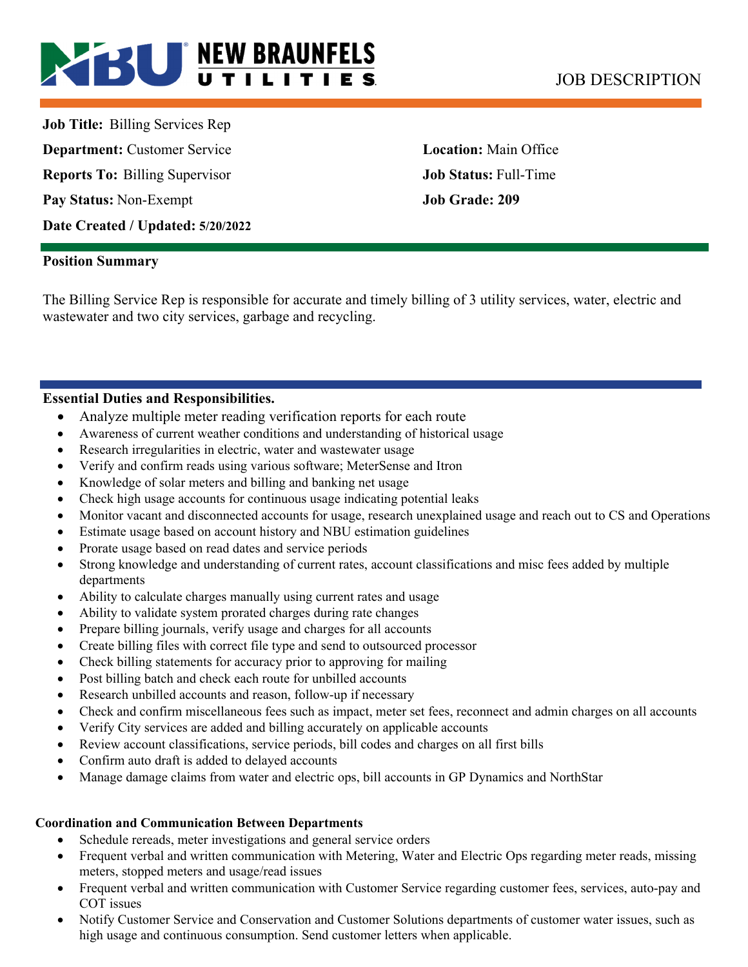# **BU NEW BRAUNFELS** JOB DESCRIPTION

**Job Title:** Billing Services Rep **Department:** Customer Service **Location:** Main Office **Reports To:** Billing Supervisor **Job Status:** Full-Time **Pay Status:** Non-Exempt **Job Grade: 209 Date Created / Updated: 5/20/2022** 

#### **Position Summary**

The Billing Service Rep is responsible for accurate and timely billing of 3 utility services, water, electric and wastewater and two city services, garbage and recycling.

#### **Essential Duties and Responsibilities.**

- Analyze multiple meter reading verification reports for each route
- Awareness of current weather conditions and understanding of historical usage
- Research irregularities in electric, water and wastewater usage
- Verify and confirm reads using various software; MeterSense and Itron
- Knowledge of solar meters and billing and banking net usage
- Check high usage accounts for continuous usage indicating potential leaks
- Monitor vacant and disconnected accounts for usage, research unexplained usage and reach out to CS and Operations
- Estimate usage based on account history and NBU estimation guidelines
- Prorate usage based on read dates and service periods
- Strong knowledge and understanding of current rates, account classifications and misc fees added by multiple departments
- Ability to calculate charges manually using current rates and usage
- Ability to validate system prorated charges during rate changes
- Prepare billing journals, verify usage and charges for all accounts
- Create billing files with correct file type and send to outsourced processor
- Check billing statements for accuracy prior to approving for mailing
- Post billing batch and check each route for unbilled accounts
- Research unbilled accounts and reason, follow-up if necessary
- Check and confirm miscellaneous fees such as impact, meter set fees, reconnect and admin charges on all accounts
- Verify City services are added and billing accurately on applicable accounts
- Review account classifications, service periods, bill codes and charges on all first bills
- Confirm auto draft is added to delayed accounts
- Manage damage claims from water and electric ops, bill accounts in GP Dynamics and NorthStar

#### **Coordination and Communication Between Departments**

- Schedule rereads, meter investigations and general service orders
- Frequent verbal and written communication with Metering, Water and Electric Ops regarding meter reads, missing meters, stopped meters and usage/read issues
- Frequent verbal and written communication with Customer Service regarding customer fees, services, auto-pay and COT issues
- Notify Customer Service and Conservation and Customer Solutions departments of customer water issues, such as high usage and continuous consumption. Send customer letters when applicable.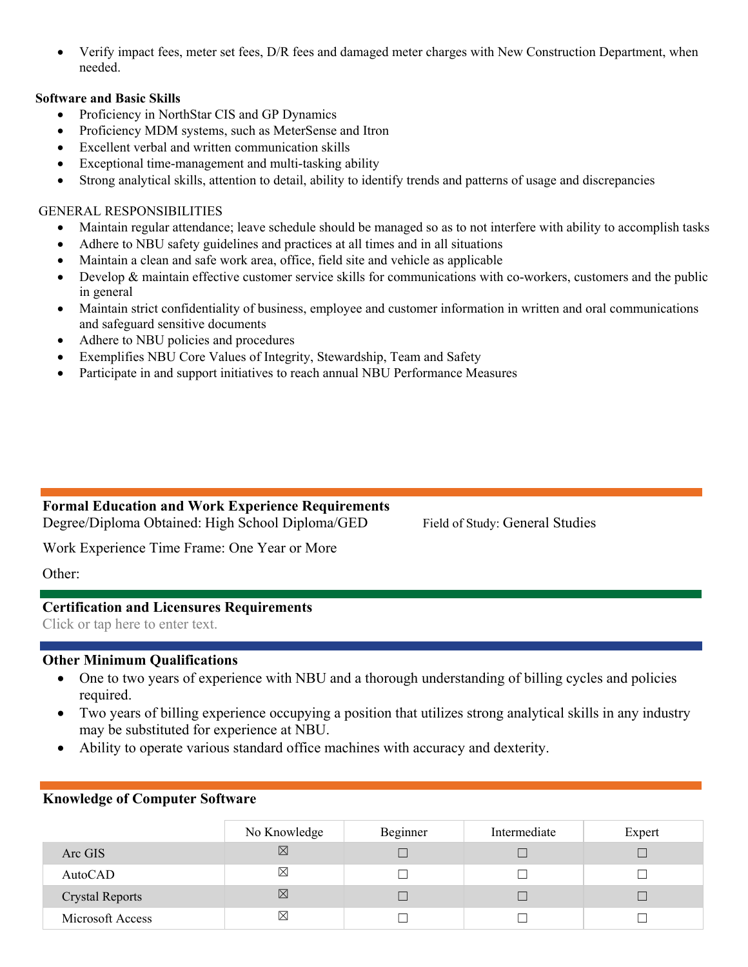Verify impact fees, meter set fees, D/R fees and damaged meter charges with New Construction Department, when needed.

#### **Software and Basic Skills**

- Proficiency in NorthStar CIS and GP Dynamics
- Proficiency MDM systems, such as MeterSense and Itron
- Excellent verbal and written communication skills
- Exceptional time-management and multi-tasking ability
- Strong analytical skills, attention to detail, ability to identify trends and patterns of usage and discrepancies

#### GENERAL RESPONSIBILITIES

- Maintain regular attendance; leave schedule should be managed so as to not interfere with ability to accomplish tasks
- Adhere to NBU safety guidelines and practices at all times and in all situations
- Maintain a clean and safe work area, office, field site and vehicle as applicable
- $\bullet$  Develop & maintain effective customer service skills for communications with co-workers, customers and the public in general
- Maintain strict confidentiality of business, employee and customer information in written and oral communications and safeguard sensitive documents
- Adhere to NBU policies and procedures
- Exemplifies NBU Core Values of Integrity, Stewardship, Team and Safety
- Participate in and support initiatives to reach annual NBU Performance Measures

# **Formal Education and Work Experience Requirements**

Degree/Diploma Obtained: High School Diploma/GED Field of Study: General Studies

Work Experience Time Frame: One Year or More

Other:

## **Certification and Licensures Requirements**

Click or tap here to enter text.

#### **Other Minimum Qualifications**

- One to two years of experience with NBU and a thorough understanding of billing cycles and policies required.
- Two years of billing experience occupying a position that utilizes strong analytical skills in any industry may be substituted for experience at NBU.
- Ability to operate various standard office machines with accuracy and dexterity.

#### **Knowledge of Computer Software**

|                        | No Knowledge | Beginner | Intermediate | Expert |
|------------------------|--------------|----------|--------------|--------|
| Arc GIS                | ⊠            |          |              |        |
| AutoCAD                | ⊠            |          |              |        |
| <b>Crystal Reports</b> | $\boxtimes$  |          |              |        |
| Microsoft Access       | $\boxtimes$  |          |              |        |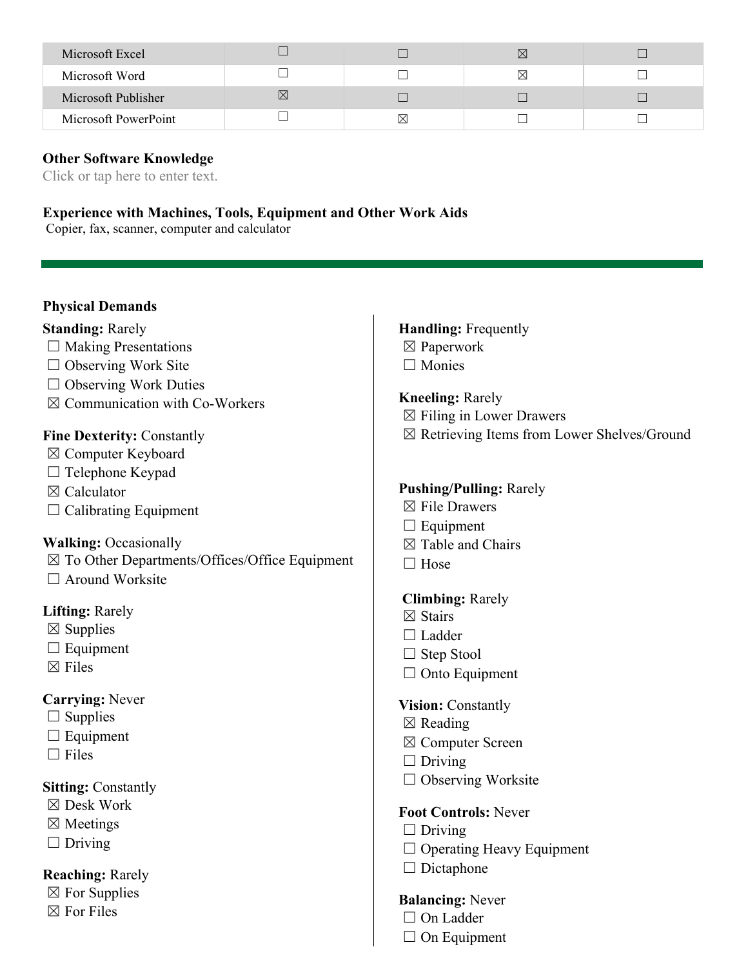| Microsoft Excel      |           |             | $\boxtimes$ |  |
|----------------------|-----------|-------------|-------------|--|
| Microsoft Word       |           |             | ⋉           |  |
| Microsoft Publisher  | $\bowtie$ |             |             |  |
| Microsoft PowerPoint |           | $\boxtimes$ |             |  |

**Other Software Knowledge** 

Click or tap here to enter text.

#### **Experience with Machines, Tools, Equipment and Other Work Aids**

Copier, fax, scanner, computer and calculator

#### **Physical Demands**

#### **Standing:** Rarely

- $\Box$  Making Presentations
- $\Box$  Observing Work Site
- □ Observing Work Duties
- $\boxtimes$  Communication with Co-Workers

#### **Fine Dexterity:** Constantly

- ☒ Computer Keyboard
- $\Box$  Telephone Keypad
- ☒ Calculator
- $\Box$  Calibrating Equipment

#### **Walking:** Occasionally

- ☒ To Other Departments/Offices/Office Equipment
- □ Around Worksite

#### **Lifting:** Rarely

- $\boxtimes$  Supplies
- $\Box$  Equipment
- $\boxtimes$  Files

#### **Carrying:** Never

- $\square$  Supplies
- $\Box$  Equipment
- $\Box$  Files

#### **Sitting: Constantly**

- ☒ Desk Work
- ☒ Meetings
- $\Box$  Driving

#### **Reaching:** Rarely

- $\boxtimes$  For Supplies
- $\boxtimes$  For Files

# **Handling:** Frequently

- ☒ Paperwork
- □ Monies

#### **Kneeling:** Rarely

- $\boxtimes$  Filing in Lower Drawers
- ☒ Retrieving Items from Lower Shelves/Ground

#### **Pushing/Pulling:** Rarely

- ☒ File Drawers
- $\Box$  Equipment
- $\boxtimes$  Table and Chairs
- □ Hose

#### **Climbing:** Rarely

- ☒ Stairs
- □ Ladder
- □ Step Stool
- $\Box$  Onto Equipment

#### **Vision:** Constantly

- $\boxtimes$  Reading
- ☒ Computer Screen
- $\Box$  Driving
- $\Box$  Observing Worksite

#### **Foot Controls:** Never

- $\Box$  Driving
- ☐ Operating Heavy Equipment
- □ Dictaphone

#### **Balancing:** Never

- □ On Ladder
- $\Box$  On Equipment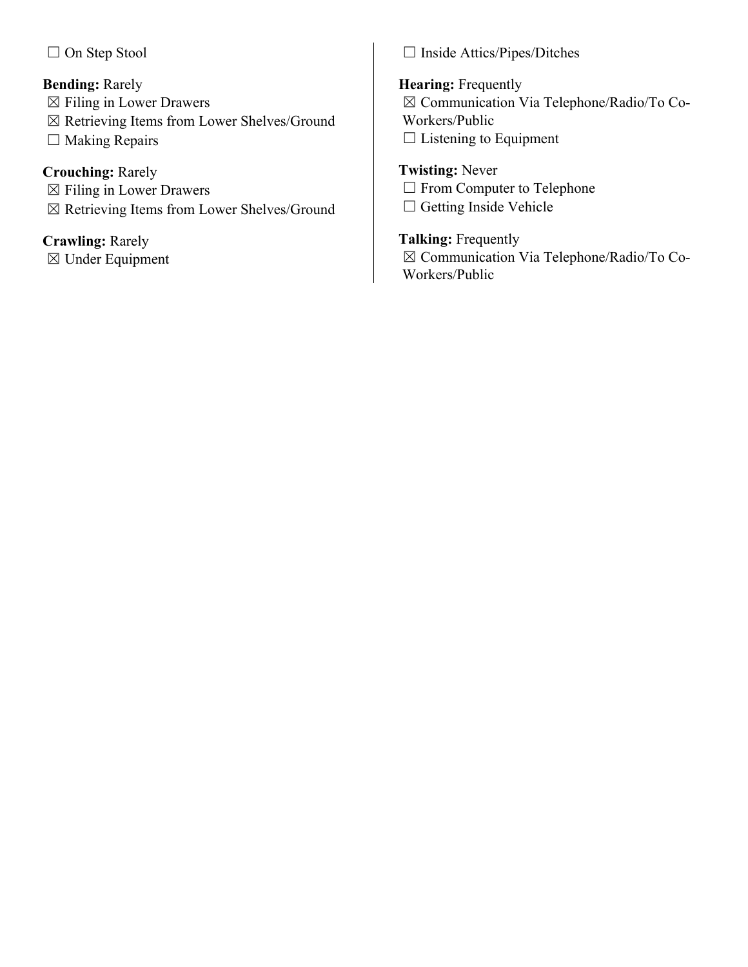□ On Step Stool

# **Bending:** Rarely

- $\boxtimes$  Filing in Lower Drawers
- ☒ Retrieving Items from Lower Shelves/Ground
- $\Box$  Making Repairs

# **Crouching:** Rarely

- ☒ Filing in Lower Drawers
- ☒ Retrieving Items from Lower Shelves/Ground

# **Crawling:** Rarely

☒ Under Equipment

☐ Inside Attics/Pipes/Ditches

# **Hearing:** Frequently ☒ Communication Via Telephone/Radio/To Co-Workers/Public  $\Box$  Listening to Equipment

# **Twisting:** Never

- □ From Computer to Telephone
- □ Getting Inside Vehicle

# **Talking:** Frequently

☒ Communication Via Telephone/Radio/To Co-Workers/Public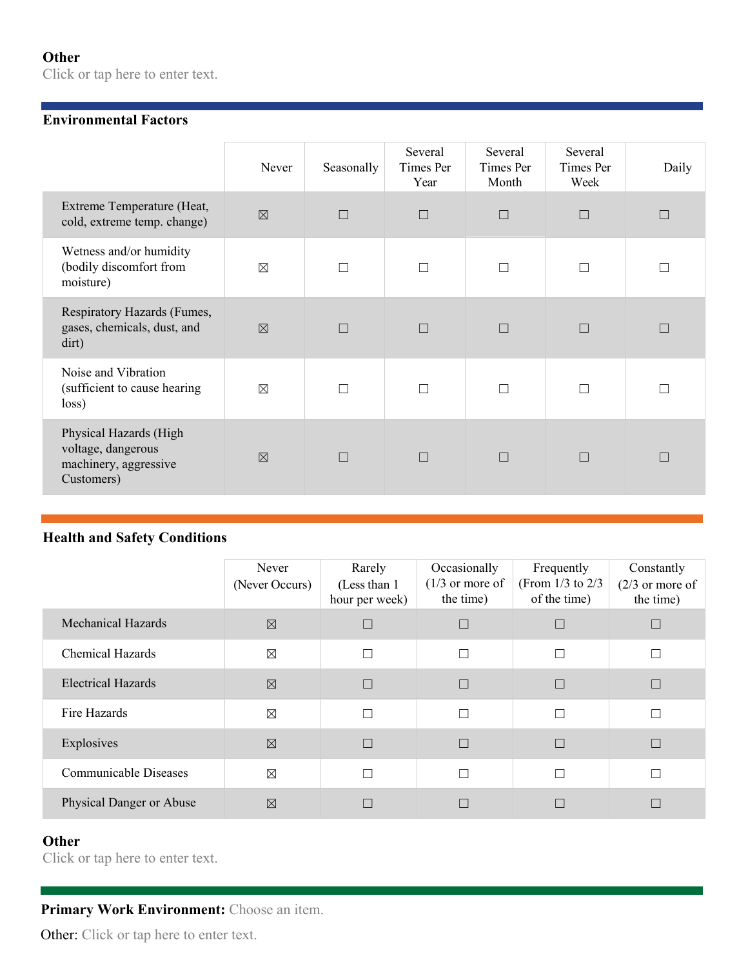## **Other**

Click or tap here to enter text.

#### **Environmental Factors**

|                                                                                     | Never       | Seasonally | Several<br>Times Per<br>Year | Several<br>Times Per<br>Month | Several<br>Times Per<br>Week | Daily |
|-------------------------------------------------------------------------------------|-------------|------------|------------------------------|-------------------------------|------------------------------|-------|
| Extreme Temperature (Heat,<br>cold, extreme temp. change)                           | $\boxtimes$ | П          | $\Box$                       | $\Box$                        | $\Box$                       |       |
| Wetness and/or humidity<br>(bodily discomfort from<br>moisture)                     | $\boxtimes$ |            | П                            |                               | П                            |       |
| Respiratory Hazards (Fumes,<br>gases, chemicals, dust, and<br>dirt)                 | $\boxtimes$ |            | $\Box$                       |                               | $\Box$                       |       |
| Noise and Vibration<br>(sufficient to cause hearing<br>loss)                        | $\boxtimes$ |            | $\Box$                       |                               | П                            |       |
| Physical Hazards (High<br>voltage, dangerous<br>machinery, aggressive<br>Customers) | $\nabla$    | П          | $\Box$                       | П                             | $\Box$                       | П     |

## **Health and Safety Conditions**

|                              | Never<br>(Never Occurs) | Rarely<br>(Less than 1)<br>hour per week) | Occasionally<br>$(1/3)$ or more of<br>the time) | Frequently<br>(From $1/3$ to $2/3$<br>of the time) | Constantly<br>$(2/3)$ or more of<br>the time) |
|------------------------------|-------------------------|-------------------------------------------|-------------------------------------------------|----------------------------------------------------|-----------------------------------------------|
| <b>Mechanical Hazards</b>    | $\boxtimes$             | $\Box$                                    |                                                 |                                                    |                                               |
| <b>Chemical Hazards</b>      | $\boxtimes$             | $\Box$                                    | П                                               | П                                                  |                                               |
| <b>Electrical Hazards</b>    | $\boxtimes$             | $\Box$                                    | $\Box$                                          |                                                    |                                               |
| Fire Hazards                 | $\boxtimes$             | $\Box$                                    | П                                               | П                                                  |                                               |
| Explosives                   | $\boxtimes$             | $\Box$                                    | $\Box$                                          | m,                                                 | $\Box$                                        |
| <b>Communicable Diseases</b> | $\boxtimes$             | П                                         |                                                 | П                                                  |                                               |
| Physical Danger or Abuse     | $\boxtimes$             | П                                         |                                                 |                                                    |                                               |

# **Other**

Click or tap here to enter text.

# Primary Work Environment: Choose an item.

Other: Click or tap here to enter text.